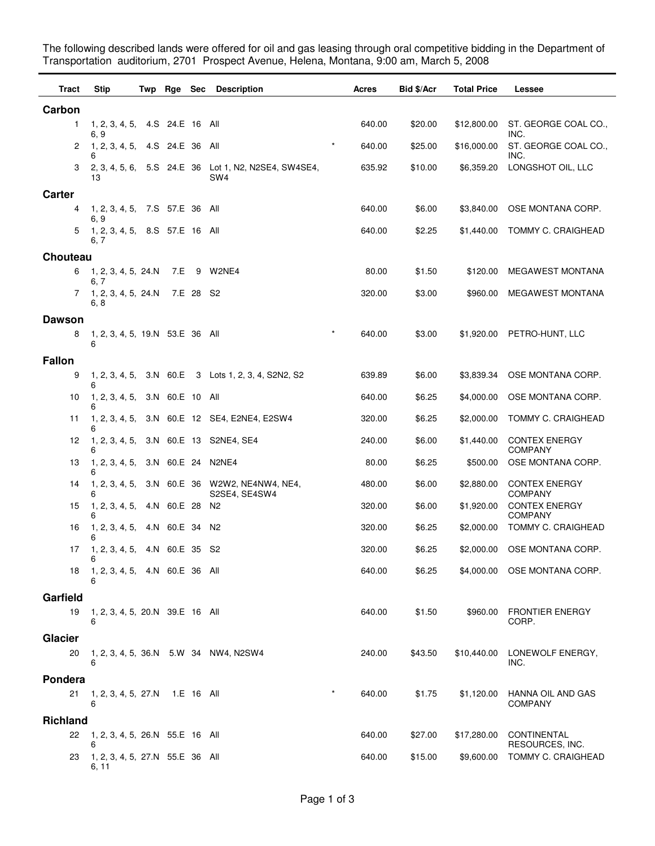The following described lands were offered for oil and gas leasing through oral competitive bidding in the Department of Transportation auditorium, 2701 Prospect Avenue, Helena, Montana, 9:00 am, March 5, 2008

| Tract           | Stip                                           |  | Twp Rge Sec |           | <b>Description</b>                                             | Acres  | <b>Bid \$/Acr</b> | <b>Total Price</b> | Lessee                                 |
|-----------------|------------------------------------------------|--|-------------|-----------|----------------------------------------------------------------|--------|-------------------|--------------------|----------------------------------------|
| Carbon          |                                                |  |             |           |                                                                |        |                   |                    |                                        |
| 1               | 1, 2, 3, 4, 5, 4. S 24. E 16 All<br>6, 9       |  |             |           |                                                                | 640.00 | \$20.00           | \$12,800.00        | ST. GEORGE COAL CO.,<br>INC.           |
| 2               | 1, 2, 3, 4, 5, 4. S 24. E 36 All<br>6          |  |             |           | $\star$                                                        | 640.00 | \$25.00           | \$16,000.00        | ST. GEORGE COAL CO.,<br>INC.           |
| 3               | 13                                             |  |             |           | 2, 3, 4, 5, 6, 5.S 24.E 36 Lot 1, N2, N2SE4, SW4SE4,<br>SW4    | 635.92 | \$10.00           | \$6,359.20         | LONGSHOT OIL, LLC                      |
| <b>Carter</b>   |                                                |  |             |           |                                                                |        |                   |                    |                                        |
| 4               | 1, 2, 3, 4, 5, 7.S 57.E 36 All                 |  |             |           |                                                                | 640.00 | \$6.00            | \$3,840.00         | OSE MONTANA CORP.                      |
| 5               | 6, 9<br>1, 2, 3, 4, 5, 8.S 57.E 16 All<br>6, 7 |  |             |           |                                                                | 640.00 | \$2.25            | \$1,440.00         | TOMMY C. CRAIGHEAD                     |
| Chouteau        |                                                |  |             |           |                                                                |        |                   |                    |                                        |
| 6               | 1, 2, 3, 4, 5, 24.N                            |  | 7.E         |           | 9 W2NE4                                                        | 80.00  | \$1.50            | \$120.00           | <b>MEGAWEST MONTANA</b>                |
| 7               | 6, 7<br>1, 2, 3, 4, 5, 24.N<br>6, 8            |  |             | 7.E 28 S2 |                                                                | 320.00 | \$3.00            | \$960.00           | MEGAWEST MONTANA                       |
| <b>Dawson</b>   |                                                |  |             |           |                                                                |        |                   |                    |                                        |
| 8               | 1, 2, 3, 4, 5, 19.N 53.E 36 All<br>6           |  |             |           | $\star$                                                        | 640.00 | \$3.00            |                    | \$1,920.00 PETRO-HUNT, LLC             |
| <b>Fallon</b>   |                                                |  |             |           |                                                                |        |                   |                    |                                        |
| 9               | 6                                              |  |             |           | 1, 2, 3, 4, 5, 3.N 60.E 3 Lots 1, 2, 3, 4, S2N2, S2            | 639.89 | \$6.00            | \$3,839.34         | OSE MONTANA CORP.                      |
| 10              | 1, 2, 3, 4, 5, 3.N 60.E 10 All                 |  |             |           |                                                                | 640.00 | \$6.25            | \$4,000.00         | OSE MONTANA CORP.                      |
| 11              |                                                |  |             |           | 1, 2, 3, 4, 5, 3.N 60.E 12 SE4, E2NE4, E2SW4                   | 320.00 | \$6.25            | \$2,000.00         | TOMMY C. CRAIGHEAD                     |
| 12              | 6                                              |  |             |           | 1, 2, 3, 4, 5, 3.N 60.E 13 S2NE4, SE4                          | 240.00 | \$6.00            | \$1,440.00         | <b>CONTEX ENERGY</b><br><b>COMPANY</b> |
| 13              | 1, 2, 3, 4, 5, 3.N 60.E 24 N2NE4<br>6          |  |             |           |                                                                | 80.00  | \$6.25            | \$500.00           | OSE MONTANA CORP.                      |
| 14              |                                                |  |             |           | 1, 2, 3, 4, 5, 3.N 60.E 36 W2W2, NE4NW4, NE4,<br>S2SE4, SE4SW4 | 480.00 | \$6.00            | \$2,880.00         | <b>CONTEX ENERGY</b><br><b>COMPANY</b> |
| 15              | 1, 2, 3, 4, 5, 4.N 60.E 28<br>6                |  |             |           | N2                                                             | 320.00 | \$6.00            | \$1,920.00         | <b>CONTEX ENERGY</b><br><b>COMPANY</b> |
| 16              | 1, 2, 3, 4, 5, 4.N 60.E 34 N2<br>6             |  |             |           |                                                                | 320.00 | \$6.25            | \$2,000.00         | TOMMY C. CRAIGHEAD                     |
| 17              | 1, 2, 3, 4, 5, 4.N 60.E 35 S2<br>6             |  |             |           |                                                                | 320.00 | \$6.25            | \$2,000.00         | OSE MONTANA CORP.                      |
| 18              | 1, 2, 3, 4, 5, 4.N 60.E 36 All<br>6            |  |             |           |                                                                | 640.00 | \$6.25            |                    | \$4,000.00 OSE MONTANA CORP.           |
| Garfield        |                                                |  |             |           |                                                                |        |                   |                    |                                        |
| 19              | 1, 2, 3, 4, 5, 20.N 39.E 16 All<br>6           |  |             |           |                                                                | 640.00 | \$1.50            | \$960.00           | <b>FRONTIER ENERGY</b><br>CORP.        |
| Glacier         |                                                |  |             |           |                                                                |        |                   |                    |                                        |
| 20              | 6                                              |  |             |           | 1, 2, 3, 4, 5, 36.N 5.W 34 NW4, N2SW4                          | 240.00 | \$43.50           | \$10,440.00        | LONEWOLF ENERGY,<br>INC.               |
| Pondera         |                                                |  |             |           |                                                                |        |                   |                    |                                        |
| 21              | 1, 2, 3, 4, 5, 27.N 1.E 16 All<br>6            |  |             |           |                                                                | 640.00 | \$1.75            | \$1,120.00         | HANNA OIL AND GAS<br><b>COMPANY</b>    |
| <b>Richland</b> |                                                |  |             |           |                                                                |        |                   |                    |                                        |
| 22              | 1, 2, 3, 4, 5, 26.N 55.E 16 All<br>6           |  |             |           |                                                                | 640.00 | \$27.00           | \$17,280.00        | CONTINENTAL<br>RESOURCES, INC.         |
| 23              | 1, 2, 3, 4, 5, 27.N 55.E 36 All<br>6, 11       |  |             |           |                                                                | 640.00 | \$15.00           | \$9,600.00         | TOMMY C. CRAIGHEAD                     |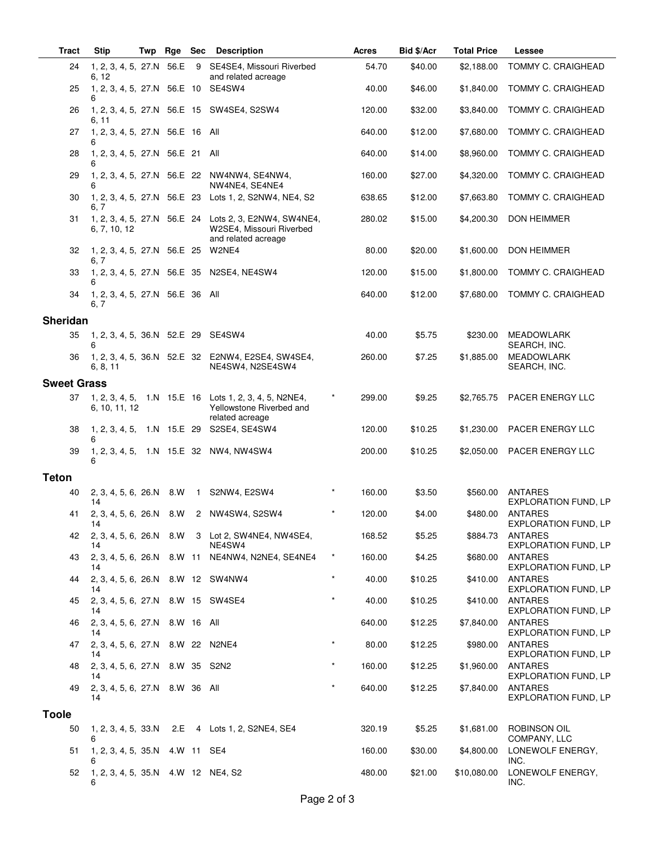| <b>Tract</b>       | <b>Stip</b>                               | Twp | Rge Sec |                | <b>Description</b>                                                                                       |          | Acres  | Bid \$/Acr | <b>Total Price</b> | Lessee                                        |
|--------------------|-------------------------------------------|-----|---------|----------------|----------------------------------------------------------------------------------------------------------|----------|--------|------------|--------------------|-----------------------------------------------|
| 24                 | 1, 2, 3, 4, 5, 27.N 56.E<br>6, 12         |     |         | - 9            | SE4SE4, Missouri Riverbed<br>and related acreage                                                         |          | 54.70  | \$40.00    | \$2,188.00         | <b>TOMMY C. CRAIGHEAD</b>                     |
| 25                 | 1, 2, 3, 4, 5, 27.N 56.E 10 SE4SW4<br>6   |     |         |                |                                                                                                          |          | 40.00  | \$46.00    | \$1,840.00         | TOMMY C. CRAIGHEAD                            |
| 26                 | 6, 11                                     |     |         |                | 1, 2, 3, 4, 5, 27.N 56.E 15 SW4SE4, S2SW4                                                                |          | 120.00 | \$32.00    | \$3,840.00         | <b>TOMMY C. CRAIGHEAD</b>                     |
| 27                 | 1, 2, 3, 4, 5, 27.N 56.E 16 All<br>6      |     |         |                |                                                                                                          |          | 640.00 | \$12.00    | \$7,680.00         | TOMMY C. CRAIGHEAD                            |
| 28                 | 1, 2, 3, 4, 5, 27.N 56.E 21 All<br>6      |     |         |                |                                                                                                          |          | 640.00 | \$14.00    | \$8,960.00         | TOMMY C. CRAIGHEAD                            |
| 29                 | 6                                         |     |         |                | 1, 2, 3, 4, 5, 27.N 56.E 22 NW4NW4, SE4NW4,<br>NW4NE4, SE4NE4                                            |          | 160.00 | \$27.00    | \$4,320.00         | <b>TOMMY C. CRAIGHEAD</b>                     |
| 30                 | 6, 7                                      |     |         |                | 1, 2, 3, 4, 5, 27.N 56.E 23 Lots 1, 2, S2NW4, NE4, S2                                                    |          | 638.65 | \$12.00    | \$7,663.80         | TOMMY C. CRAIGHEAD                            |
| 31                 | 6, 7, 10, 12                              |     |         |                | 1, 2, 3, 4, 5, 27.N 56.E 24 Lots 2, 3, E2NW4, SW4NE4,<br>W2SE4, Missouri Riverbed<br>and related acreage |          | 280.02 | \$15.00    | \$4,200.30         | <b>DON HEIMMER</b>                            |
| 32                 | 1, 2, 3, 4, 5, 27.N 56.E 25 W2NE4<br>6, 7 |     |         |                |                                                                                                          |          | 80.00  | \$20.00    | \$1,600.00         | DON HEIMMER                                   |
| 33                 | 6                                         |     |         |                | 1, 2, 3, 4, 5, 27.N 56.E 35 N2SE4, NE4SW4                                                                |          | 120.00 | \$15.00    | \$1,800.00         | TOMMY C. CRAIGHEAD                            |
| 34                 | 1, 2, 3, 4, 5, 27.N 56.E 36 All<br>6, 7   |     |         |                |                                                                                                          |          | 640.00 | \$12.00    | \$7,680.00         | TOMMY C. CRAIGHEAD                            |
| <b>Sheridan</b>    |                                           |     |         |                |                                                                                                          |          |        |            |                    |                                               |
| 35                 | 1, 2, 3, 4, 5, 36.N 52.E 29 SE4SW4<br>6   |     |         |                |                                                                                                          |          | 40.00  | \$5.75     | \$230.00           | <b>MEADOWLARK</b><br>SEARCH, INC.             |
| 36                 | 6, 8, 11                                  |     |         |                | 1, 2, 3, 4, 5, 36.N 52.E 32 E2NW4, E2SE4, SW4SE4,<br>NE4SW4, N2SE4SW4                                    |          | 260.00 | \$7.25     | \$1,885.00         | <b>MEADOWLARK</b><br>SEARCH, INC.             |
| <b>Sweet Grass</b> |                                           |     |         |                |                                                                                                          |          |        |            |                    |                                               |
| 37                 | 6, 10, 11, 12                             |     |         |                | 1, 2, 3, 4, 5, 1.N 15.E 16 Lots 1, 2, 3, 4, 5, N2NE4,<br>Yellowstone Riverbed and<br>related acreage     | $\star$  | 299.00 | \$9.25     | \$2,765.75         | PACER ENERGY LLC                              |
| 38                 | 6                                         |     |         |                | 1, 2, 3, 4, 5, 1.N 15.E 29 S2SE4, SE4SW4                                                                 |          | 120.00 | \$10.25    | \$1,230.00         | PACER ENERGY LLC                              |
| 39                 | 6                                         |     |         |                | 1, 2, 3, 4, 5, 1.N 15.E 32 NW4, NW4SW4                                                                   |          | 200.00 | \$10.25    | \$2,050.00         | PACER ENERGY LLC                              |
| <b>Teton</b>       |                                           |     |         |                |                                                                                                          |          |        |            |                    |                                               |
| 40                 | 2, 3, 4, 5, 6, 26.N 8.W<br>14             |     |         | $\overline{1}$ | S2NW4, E2SW4                                                                                             | $\star$  | 160.00 | \$3.50     | \$560.00           | <b>ANTARES</b><br><b>EXPLORATION FUND, LP</b> |
| 41                 | 2, 3, 4, 5, 6, 26.N 8.W<br>14             |     |         |                | 2 NW4SW4, S2SW4                                                                                          | $\star$  | 120.00 | \$4.00     | \$480.00           | ANTARES<br><b>EXPLORATION FUND, LP</b>        |
| 42                 | 14                                        |     |         |                | 2, 3, 4, 5, 6, 26. N 8. W 3 Lot 2, SW4NE4, NW4SE4,<br>NE4SW4                                             |          | 168.52 | \$5.25     | \$884.73           | ANTARES<br><b>EXPLORATION FUND, LP</b>        |
| 43                 | 14                                        |     |         |                | 2, 3, 4, 5, 6, 26.N 8.W 11 NE4NW4, N2NE4, SE4NE4                                                         | $^\star$ | 160.00 | \$4.25     | \$680.00           | ANTARES<br><b>EXPLORATION FUND, LP</b>        |
| 44                 | 2, 3, 4, 5, 6, 26.N 8.W 12 SW4NW4<br>14   |     |         |                |                                                                                                          | $\star$  | 40.00  | \$10.25    | \$410.00           | ANTARES<br><b>EXPLORATION FUND, LP</b>        |
| 45                 | 2, 3, 4, 5, 6, 27.N 8.W 15 SW4SE4<br>14   |     |         |                |                                                                                                          | $\star$  | 40.00  | \$10.25    | \$410.00           | ANTARES<br><b>EXPLORATION FUND, LP</b>        |
| 46                 | 2, 3, 4, 5, 6, 27.N 8.W 16 All<br>14      |     |         |                |                                                                                                          |          | 640.00 | \$12.25    | \$7,840.00         | ANTARES<br><b>EXPLORATION FUND, LP</b>        |
| 47                 | 2, 3, 4, 5, 6, 27.N 8.W 22 N2NE4<br>14    |     |         |                |                                                                                                          |          | 80.00  | \$12.25    | \$980.00           | <b>ANTARES</b><br>EXPLORATION FUND, LP        |
| 48                 | 2, 3, 4, 5, 6, 27.N 8.W 35 S2N2<br>14     |     |         |                |                                                                                                          | $\star$  | 160.00 | \$12.25    | \$1,960.00         | ANTARES<br><b>EXPLORATION FUND, LP</b>        |
| 49                 | 2, 3, 4, 5, 6, 27.N 8.W 36 All<br>14      |     |         |                |                                                                                                          | $\star$  | 640.00 | \$12.25    | \$7,840.00         | ANTARES<br><b>EXPLORATION FUND, LP</b>        |
| <b>Toole</b>       |                                           |     |         |                |                                                                                                          |          |        |            |                    |                                               |
| 50                 |                                           |     |         |                | 1, 2, 3, 4, 5, 33. N 2. E 4 Lots 1, 2, S2NE4, SE4                                                        |          | 320.19 | \$5.25     | \$1,681.00         | ROBINSON OIL<br>COMPANY, LLC                  |
| 51                 | 1, 2, 3, 4, 5, 35.N 4.W 11 SE4<br>6       |     |         |                |                                                                                                          |          | 160.00 | \$30.00    | \$4,800.00         | LONEWOLF ENERGY,<br>INC.                      |
| 52                 | 1, 2, 3, 4, 5, 35. N 4. W 12 NE4, S2<br>6 |     |         |                |                                                                                                          |          | 480.00 | \$21.00    | \$10,080.00        | LONEWOLF ENERGY,<br>INC.                      |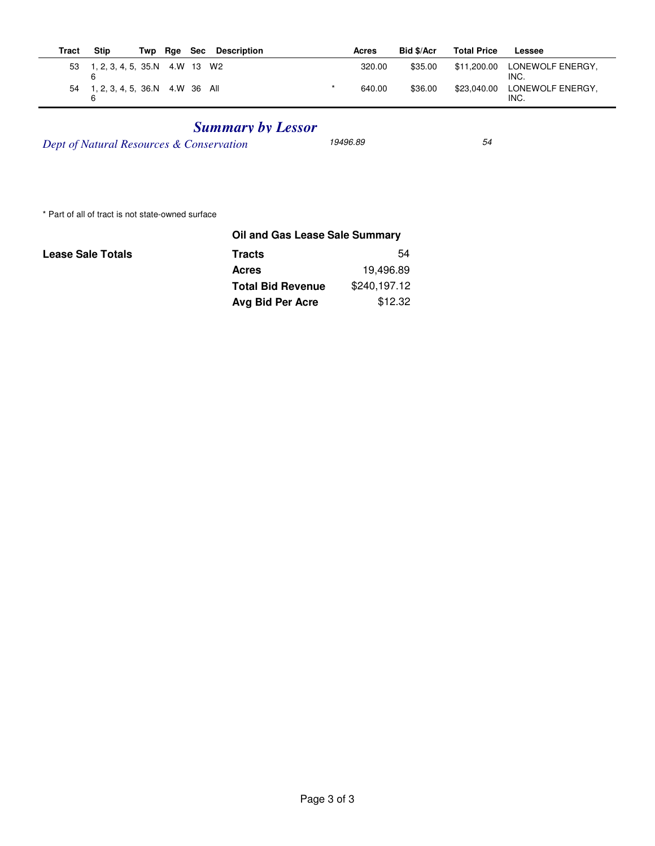| Tract | <b>Stip</b>                           | Twp | Rae Sec | Description | Acres  | Bid \$/Acr | <b>Total Price</b> | Lessee                   |
|-------|---------------------------------------|-----|---------|-------------|--------|------------|--------------------|--------------------------|
|       | 53 1, 2, 3, 4, 5, 35.N 4.W 13 W2<br>6 |     |         |             | 320.00 | \$35.00    | \$11.200.00        | LONEWOLF ENERGY.<br>INC. |
| 54    | 1, 2, 3, 4, 5, 36.N 4.W 36 All        |     |         |             | 640.00 | \$36.00    | \$23.040.00        | LONEWOLF ENERGY.<br>INC. |

## *Summary by Lessor*

*Dept of Natural Resources & Conservation* 19496.89 54

\* Part of all of tract is not state-owned surface

|                          | Oil and Gas Lease Sale Summary |              |  |
|--------------------------|--------------------------------|--------------|--|
| <b>Lease Sale Totals</b> | <b>Tracts</b>                  | 54           |  |
|                          | <b>Acres</b>                   | 19,496.89    |  |
|                          | <b>Total Bid Revenue</b>       | \$240,197.12 |  |
|                          | Avg Bid Per Acre               | \$12.32      |  |
|                          |                                |              |  |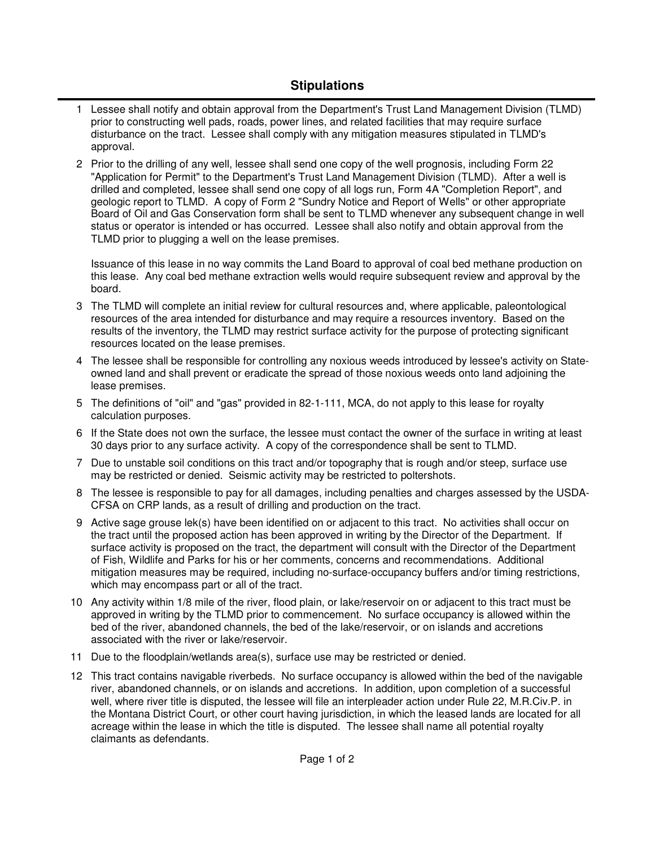## **Stipulations**

- 1 Lessee shall notify and obtain approval from the Department's Trust Land Management Division (TLMD) prior to constructing well pads, roads, power lines, and related facilities that may require surface disturbance on the tract. Lessee shall comply with any mitigation measures stipulated in TLMD's approval.
- 2 Prior to the drilling of any well, lessee shall send one copy of the well prognosis, including Form 22 "Application for Permit" to the Department's Trust Land Management Division (TLMD). After a well is drilled and completed, lessee shall send one copy of all logs run, Form 4A "Completion Report", and geologic report to TLMD. A copy of Form 2 "Sundry Notice and Report of Wells" or other appropriate Board of Oil and Gas Conservation form shall be sent to TLMD whenever any subsequent change in well status or operator is intended or has occurred. Lessee shall also notify and obtain approval from the TLMD prior to plugging a well on the lease premises.

Issuance of this lease in no way commits the Land Board to approval of coal bed methane production on this lease. Any coal bed methane extraction wells would require subsequent review and approval by the board.

- The TLMD will complete an initial review for cultural resources and, where applicable, paleontological 3 resources of the area intended for disturbance and may require a resources inventory. Based on the results of the inventory, the TLMD may restrict surface activity for the purpose of protecting significant resources located on the lease premises.
- The lessee shall be responsible for controlling any noxious weeds introduced by lessee's activity on State-4 owned land and shall prevent or eradicate the spread of those noxious weeds onto land adjoining the lease premises.
- 5 The definitions of "oil" and "gas" provided in 82-1-111, MCA, do not apply to this lease for royalty calculation purposes.
- 6 If the State does not own the surface, the lessee must contact the owner of the surface in writing at least 30 days prior to any surface activity. A copy of the correspondence shall be sent to TLMD.
- 7 Due to unstable soil conditions on this tract and/or topography that is rough and/or steep, surface use may be restricted or denied. Seismic activity may be restricted to poltershots.
- 8 The lessee is responsible to pay for all damages, including penalties and charges assessed by the USDA-CFSA on CRP lands, as a result of drilling and production on the tract.
- 9 Active sage grouse lek(s) have been identified on or adjacent to this tract. No activities shall occur on the tract until the proposed action has been approved in writing by the Director of the Department. If surface activity is proposed on the tract, the department will consult with the Director of the Department of Fish, Wildlife and Parks for his or her comments, concerns and recommendations. Additional mitigation measures may be required, including no-surface-occupancy buffers and/or timing restrictions, which may encompass part or all of the tract.
- Any activity within 1/8 mile of the river, flood plain, or lake/reservoir on or adjacent to this tract must be 10 approved in writing by the TLMD prior to commencement. No surface occupancy is allowed within the bed of the river, abandoned channels, the bed of the lake/reservoir, or on islands and accretions associated with the river or lake/reservoir.
- 11 Due to the floodplain/wetlands area(s), surface use may be restricted or denied.
- This tract contains navigable riverbeds. No surface occupancy is allowed within the bed of the navigable 12 river, abandoned channels, or on islands and accretions. In addition, upon completion of a successful well, where river title is disputed, the lessee will file an interpleader action under Rule 22, M.R.Civ.P. in the Montana District Court, or other court having jurisdiction, in which the leased lands are located for all acreage within the lease in which the title is disputed. The lessee shall name all potential royalty claimants as defendants.